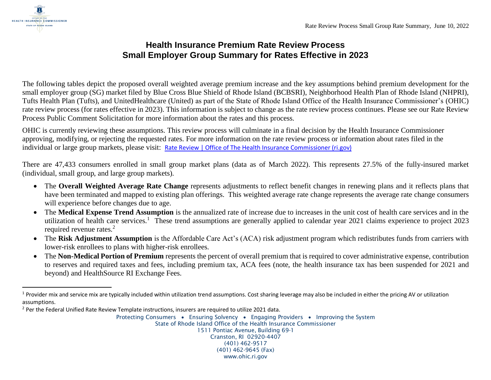

## **Health Insurance Premium Rate Review Process Small Employer Group Summary for Rates Effective in 2023**

The following tables depict the proposed overall weighted average premium increase and the key assumptions behind premium development for the small employer group (SG) market filed by Blue Cross Blue Shield of Rhode Island (BCBSRI), Neighborhood Health Plan of Rhode Island (NHPRI), Tufts Health Plan (Tufts), and UnitedHealthcare (United) as part of the State of Rhode Island Office of the Health Insurance Commissioner's (OHIC) rate review process (for rates effective in 2023). This information is subject to change as the rate review process continues. Please see our Rate Review Process Public Comment Solicitation for more information about the rates and this process.

OHIC is currently reviewing these assumptions. This review process will culminate in a final decision by the Health Insurance Commissioner approving, modifying, or rejecting the requested rates. For more information on the rate review process or information about rates filed in the individual or large group markets, please visit: [Rate Review | Office of The Health Insurance Commissioner \(ri.gov\)](https://ohic.ri.gov/regulatory-review/rate-review)

There are 47,433 consumers enrolled in small group market plans (data as of March 2022). This represents 27.5% of the fully-insured market (individual, small group, and large group markets).

- The **Overall Weighted Average Rate Change** represents adjustments to reflect benefit changes in renewing plans and it reflects plans that have been terminated and mapped to existing plan offerings. This weighted average rate change represents the average rate change consumers will experience before changes due to age.
- The **Medical Expense Trend Assumption** is the annualized rate of increase due to increases in the unit cost of health care services and in the utilization of health care services.<sup>1</sup> These trend assumptions are generally applied to calendar year 2021 claims experience to project 2023 required revenue rates.<sup>2</sup>
- The **Risk Adjustment Assumption** is the Affordable Care Act's (ACA) risk adjustment program which redistributes funds from carriers with lower-risk enrollees to plans with higher-risk enrollees.
- The **Non-Medical Portion of Premium** represents the percent of overall premium that is required to cover administrative expense, contribution to reserves and required taxes and fees, including premium tax, ACA fees (note, the health insurance tax has been suspended for 2021 and beyond) and HealthSource RI Exchange Fees.

 $1$  Provider mix and service mix are typically included within utilization trend assumptions. Cost sharing leverage may also be included in either the pricing AV or utilization assumptions.

<sup>&</sup>lt;sup>2</sup> Per the Federal Unified Rate Review Template instructions, insurers are required to utilize 2021 data.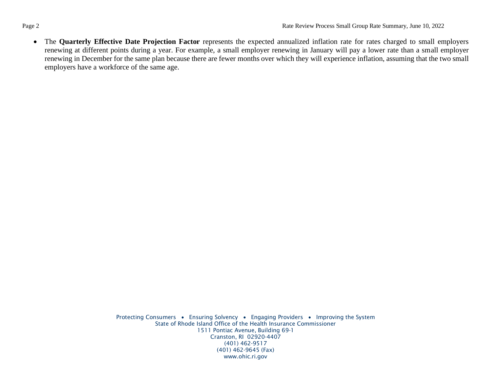• The **Quarterly Effective Date Projection Factor** represents the expected annualized inflation rate for rates charged to small employers renewing at different points during a year. For example, a small employer renewing in January will pay a lower rate than a small employer renewing in December for the same plan because there are fewer months over which they will experience inflation, assuming that the two small employers have a workforce of the same age.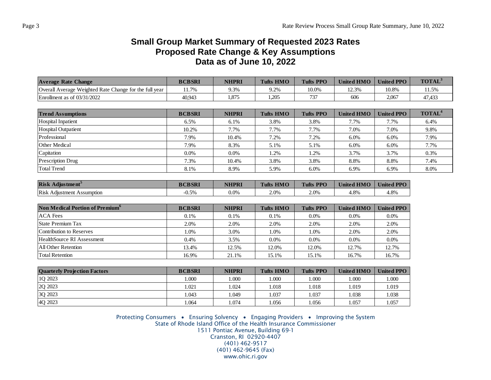## **Small Group Market Summary of Requested 2023 Rates Proposed Rate Change & Key Assumptions Data as of June 10, 2022**

| <b>Average Rate Change</b>                             | <b>BCBSRI</b> | <b>NHPRI</b> | <b>Tufts HMO</b> | <b>Tufts PPO</b> | <b>United HMO</b> | <b>United PPO</b> | TOTAL <sup>3</sup> |
|--------------------------------------------------------|---------------|--------------|------------------|------------------|-------------------|-------------------|--------------------|
| Overall Average Weighted Rate Change for the full year | 11.7%         | 9.3%         | 9.2%             | 10.0%            | 12.3%             | 10.8%             | 11.5%              |
| Enrollment as of 03/31/2022                            | 40,943        | 1,875        | 1.205            | 737              | 606               | 2,067             | 47,433             |
|                                                        |               |              |                  |                  |                   |                   |                    |
| <b>Trend Assumptions</b>                               | <b>BCBSRI</b> | <b>NHPRI</b> | <b>Tufts HMO</b> | <b>Tufts PPO</b> | <b>United HMO</b> | <b>United PPO</b> | TOTAL <sup>4</sup> |
| <b>Hospital Inpatient</b>                              | 6.5%          | 6.1%         | 3.8%             | 3.8%             | 7.7%              | 7.7%              | 6.4%               |
| <b>Hospital Outpatient</b>                             | 10.2%         | 7.7%         | 7.7%             | 7.7%             | 7.0%              | 7.0%              | 9.8%               |
| Professional                                           | 7.9%          | 10.4%        | 7.2%             | 7.2%             | 6.0%              | 6.0%              | 7.9%               |
| <b>Other Medical</b>                                   | 7.9%          | 8.3%         | 5.1%             | 5.1%             | 6.0%              | 6.0%              | 7.7%               |
| Capitation                                             | 0.0%          | 0.0%         | 1.2%             | 1.2%             | 3.7%              | 3.7%              | 0.3%               |
| Prescription Drug                                      | 7.3%          | 10.4%        | 3.8%             | 3.8%             | 8.8%              | 8.8%              | 7.4%               |
| <b>Total Trend</b>                                     | 8.1%          | 8.9%         | 5.9%             | 6.0%             | 6.9%              | 6.9%              | 8.0%               |
|                                                        |               |              |                  |                  |                   |                   |                    |
| Risk Adjustment <sup>5</sup>                           | <b>BCBSRI</b> | <b>NHPRI</b> | <b>Tufts HMO</b> | <b>Tufts PPO</b> | <b>United HMO</b> | <b>United PPO</b> |                    |
| <b>Risk Adjustment Assumption</b>                      | $-0.5%$       | 0.0%         | 2.0%             | 2.0%             | 4.8%              | 4.8%              |                    |
|                                                        |               |              |                  |                  |                   |                   |                    |
| Non Medical Portion of Premium <sup>6</sup>            | <b>BCBSRI</b> | <b>NHPRI</b> | <b>Tufts HMO</b> | <b>Tufts PPO</b> | <b>United HMO</b> | <b>United PPO</b> |                    |
| <b>ACA Fees</b>                                        | 0.1%          | 0.1%         | 0.1%             | 0.0%             | 0.0%              | 0.0%              |                    |
| <b>State Premium Tax</b>                               | 2.0%          | 2.0%         | 2.0%             | 2.0%             | 2.0%              | 2.0%              |                    |
| <b>Contribution to Reserves</b>                        | 1.0%          | 3.0%         | 1.0%             | 1.0%             | 2.0%              | 2.0%              |                    |
| HealthSource RI Assessment                             | 0.4%          | 3.5%         | $0.0\%$          | 0.0%             | 0.0%              | $0.0\%$           |                    |
| <b>All Other Retention</b>                             | 13.4%         | 12.5%        | 12.0%            | 12.0%            | 12.7%             | 12.7%             |                    |
| <b>Total Retention</b>                                 | 16.9%         | 21.1%        | 15.1%            | 15.1%            | 16.7%             | 16.7%             |                    |
|                                                        |               |              |                  |                  |                   |                   |                    |
| <b>Quarterly Projection Factors</b>                    | <b>BCBSRI</b> | <b>NHPRI</b> | <b>Tufts HMO</b> | <b>Tufts PPO</b> | <b>United HMO</b> | <b>United PPO</b> |                    |
| 1Q 2023                                                | 1.000         | 1.000        | 1.000            | 1.000            | 1.000             | 1.000             |                    |
| 2Q 2023                                                | 1.021         | 1.024        | 1.018            | 1.018            | 1.019             | 1.019             |                    |
| 3Q 2023                                                | 1.043         | 1.049        | 1.037            | 1.037            | 1.038             | 1.038             |                    |
| 4Q 2023                                                | 1.064         | 1.074        | 1.056            | 1.056            | 1.057             | 1.057             |                    |